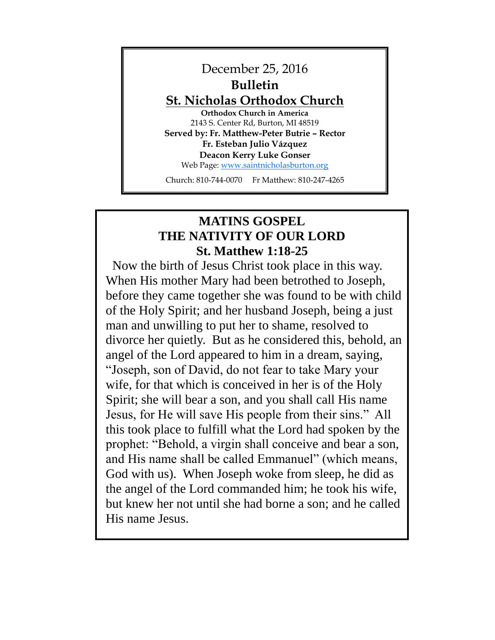

# **MATINS GOSPEL THE NATIVITY OF OUR LORD St. Matthew 1:18-25**

Now the birth of Jesus Christ took place in this way. When His mother Mary had been betrothed to Joseph, before they came together she was found to be with child of the Holy Spirit; and her husband Joseph, being a just man and unwilling to put her to shame, resolved to divorce her quietly. But as he considered this, behold, an angel of the Lord appeared to him in a dream, saying, "Joseph, son of David, do not fear to take Mary your wife, for that which is conceived in her is of the Holy Spirit; she will bear a son, and you shall call His name Jesus, for He will save His people from their sins." All this took place to fulfill what the Lord had spoken by the prophet: "Behold, a virgin shall conceive and bear a son, and His name shall be called Emmanuel" (which means, God with us). When Joseph woke from sleep, he did as the angel of the Lord commanded him; he took his wife, but knew her not until she had borne a son; and he called His name Jesus.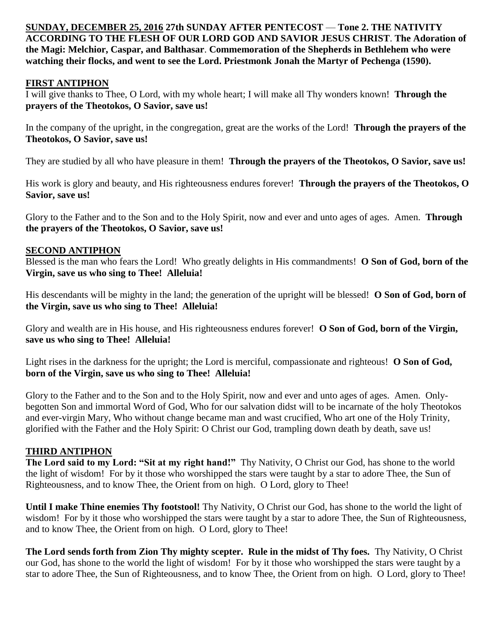**SUNDAY, DECEMBER 25, 2016 27th SUNDAY AFTER PENTECOST** — **Tone 2. THE NATIVITY ACCORDING TO THE FLESH OF OUR LORD GOD AND SAVIOR JESUS CHRIST**. **The Adoration of the Magi: Melchior, Caspar, and Balthasar**. **Commemoration of the Shepherds in Bethlehem who were watching their flocks, and went to see the Lord. Priestmonk Jonah the Martyr of Pechenga (1590).** 

### **FIRST ANTIPHON**

I will give thanks to Thee, O Lord, with my whole heart; I will make all Thy wonders known! **Through the prayers of the Theotokos, O Savior, save us!**

In the company of the upright, in the congregation, great are the works of the Lord! **Through the prayers of the Theotokos, O Savior, save us!**

They are studied by all who have pleasure in them! **Through the prayers of the Theotokos, O Savior, save us!**

His work is glory and beauty, and His righteousness endures forever! **Through the prayers of the Theotokos, O Savior, save us!**

Glory to the Father and to the Son and to the Holy Spirit, now and ever and unto ages of ages. Amen. **Through the prayers of the Theotokos, O Savior, save us!**

#### **SECOND ANTIPHON**

Blessed is the man who fears the Lord! Who greatly delights in His commandments! **O Son of God, born of the Virgin, save us who sing to Thee! Alleluia!**

His descendants will be mighty in the land; the generation of the upright will be blessed! **O Son of God, born of the Virgin, save us who sing to Thee! Alleluia!**

Glory and wealth are in His house, and His righteousness endures forever! **O Son of God, born of the Virgin, save us who sing to Thee! Alleluia!**

Light rises in the darkness for the upright; the Lord is merciful, compassionate and righteous! **O Son of God, born of the Virgin, save us who sing to Thee! Alleluia!**

Glory to the Father and to the Son and to the Holy Spirit, now and ever and unto ages of ages. Amen. Onlybegotten Son and immortal Word of God, Who for our salvation didst will to be incarnate of the holy Theotokos and ever-virgin Mary, Who without change became man and wast crucified, Who art one of the Holy Trinity, glorified with the Father and the Holy Spirit: O Christ our God, trampling down death by death, save us!

#### **THIRD ANTIPHON**

**The Lord said to my Lord: "Sit at my right hand!"** Thy Nativity, O Christ our God, has shone to the world the light of wisdom! For by it those who worshipped the stars were taught by a star to adore Thee, the Sun of Righteousness, and to know Thee, the Orient from on high. O Lord, glory to Thee!

**Until I make Thine enemies Thy footstool!** Thy Nativity, O Christ our God, has shone to the world the light of wisdom! For by it those who worshipped the stars were taught by a star to adore Thee, the Sun of Righteousness, and to know Thee, the Orient from on high. O Lord, glory to Thee!

**The Lord sends forth from Zion Thy mighty scepter. Rule in the midst of Thy foes.** Thy Nativity, O Christ our God, has shone to the world the light of wisdom! For by it those who worshipped the stars were taught by a star to adore Thee, the Sun of Righteousness, and to know Thee, the Orient from on high. O Lord, glory to Thee!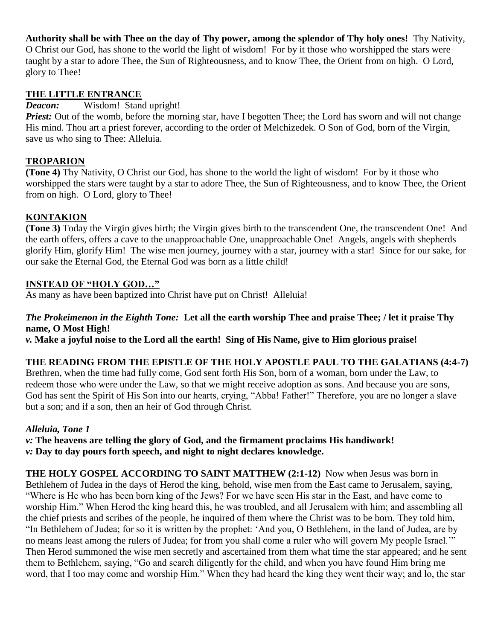**Authority shall be with Thee on the day of Thy power, among the splendor of Thy holy ones!** Thy Nativity, O Christ our God, has shone to the world the light of wisdom! For by it those who worshipped the stars were taught by a star to adore Thee, the Sun of Righteousness, and to know Thee, the Orient from on high. O Lord, glory to Thee!

#### **THE LITTLE ENTRANCE**

*Deacon:* Wisdom! Stand upright!

*Priest:* Out of the womb, before the morning star, have I begotten Thee; the Lord has sworn and will not change His mind. Thou art a priest forever, according to the order of Melchizedek. O Son of God, born of the Virgin, save us who sing to Thee: Alleluia.

### **TROPARION**

**(Tone 4)** Thy Nativity, O Christ our God, has shone to the world the light of wisdom! For by it those who worshipped the stars were taught by a star to adore Thee, the Sun of Righteousness, and to know Thee, the Orient from on high. O Lord, glory to Thee!

### **KONTAKION**

**(Tone 3)** Today the Virgin gives birth; the Virgin gives birth to the transcendent One, the transcendent One! And the earth offers, offers a cave to the unapproachable One, unapproachable One! Angels, angels with shepherds glorify Him, glorify Him! The wise men journey, journey with a star, journey with a star! Since for our sake, for our sake the Eternal God, the Eternal God was born as a little child!

### **INSTEAD OF "HOLY GOD…"**

As many as have been baptized into Christ have put on Christ! Alleluia!

### *The Prokeimenon in the Eighth Tone:* **Let all the earth worship Thee and praise Thee; / let it praise Thy name, O Most High!**

*v.* **Make a joyful noise to the Lord all the earth! Sing of His Name, give to Him glorious praise!**

### **THE READING FROM THE EPISTLE OF THE HOLY APOSTLE PAUL TO THE GALATIANS (4:4-7)**

Brethren, when the time had fully come, God sent forth His Son, born of a woman, born under the Law, to redeem those who were under the Law, so that we might receive adoption as sons. And because you are sons, God has sent the Spirit of His Son into our hearts, crying, "Abba! Father!" Therefore, you are no longer a slave but a son; and if a son, then an heir of God through Christ.

### *Alleluia, Tone 1*

*v:* **The heavens are telling the glory of God, and the firmament proclaims His handiwork!** *v:* **Day to day pours forth speech, and night to night declares knowledge.**

**THE HOLY GOSPEL ACCORDING TO SAINT MATTHEW (2:1-12)** Now when Jesus was born in Bethlehem of Judea in the days of Herod the king, behold, wise men from the East came to Jerusalem, saying, "Where is He who has been born king of the Jews? For we have seen His star in the East, and have come to worship Him." When Herod the king heard this, he was troubled, and all Jerusalem with him; and assembling all the chief priests and scribes of the people, he inquired of them where the Christ was to be born. They told him, "In Bethlehem of Judea; for so it is written by the prophet: 'And you, O Bethlehem, in the land of Judea, are by no means least among the rulers of Judea; for from you shall come a ruler who will govern My people Israel.'" Then Herod summoned the wise men secretly and ascertained from them what time the star appeared; and he sent them to Bethlehem, saying, "Go and search diligently for the child, and when you have found Him bring me word, that I too may come and worship Him." When they had heard the king they went their way; and lo, the star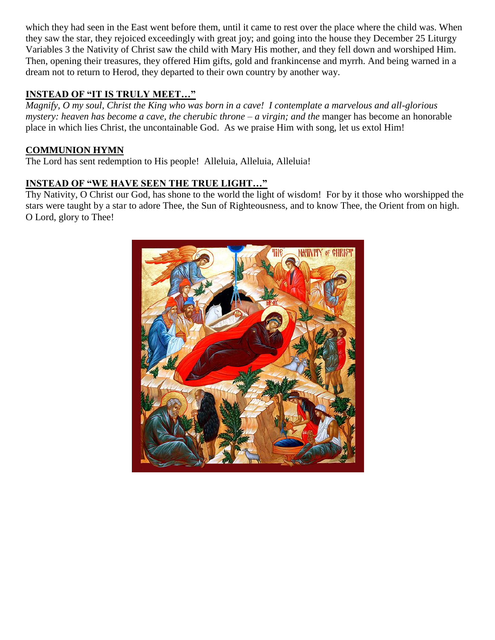which they had seen in the East went before them, until it came to rest over the place where the child was. When they saw the star, they rejoiced exceedingly with great joy; and going into the house they December 25 Liturgy Variables 3 the Nativity of Christ saw the child with Mary His mother, and they fell down and worshiped Him. Then, opening their treasures, they offered Him gifts, gold and frankincense and myrrh. And being warned in a dream not to return to Herod, they departed to their own country by another way.

## **INSTEAD OF "IT IS TRULY MEET…"**

*Magnify, O my soul, Christ the King who was born in a cave! I contemplate a marvelous and all-glorious mystery: heaven has become a cave, the cherubic throne – a virgin; and the* manger has become an honorable place in which lies Christ, the uncontainable God. As we praise Him with song, let us extol Him!

## **COMMUNION HYMN**

The Lord has sent redemption to His people! Alleluia, Alleluia, Alleluia!

## **INSTEAD OF "WE HAVE SEEN THE TRUE LIGHT…"**

Thy Nativity, O Christ our God, has shone to the world the light of wisdom! For by it those who worshipped the stars were taught by a star to adore Thee, the Sun of Righteousness, and to know Thee, the Orient from on high. O Lord, glory to Thee!

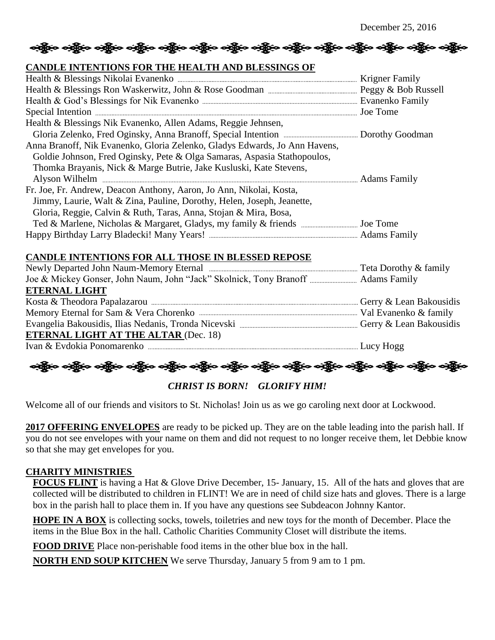# တို့ဖြင့် ဝတ္ထိုလ တို့ဖြင့် ဝတ္ထိုလ တို့ဖြင့် တဖွို့လ တွေ့ရှိ ပြုပြင် ဝတ္ထိုလ တွေ့ရှိ ပြုပြင် ပြုပြင်

### **CANDLE INTENTIONS FOR THE HEALTH AND BLESSINGS OF**

| Health & Blessings Nik Evanenko, Allen Adams, Reggie Jehnsen,              |  |
|----------------------------------------------------------------------------|--|
|                                                                            |  |
| Anna Branoff, Nik Evanenko, Gloria Zelenko, Gladys Edwards, Jo Ann Havens, |  |
| Goldie Johnson, Fred Oginsky, Pete & Olga Samaras, Aspasia Stathopoulos,   |  |
| Thomka Brayanis, Nick & Marge Butrie, Jake Kusluski, Kate Stevens,         |  |
|                                                                            |  |
| Fr. Joe, Fr. Andrew, Deacon Anthony, Aaron, Jo Ann, Nikolai, Kosta,        |  |
| Jimmy, Laurie, Walt & Zina, Pauline, Dorothy, Helen, Joseph, Jeanette,     |  |
| Gloria, Reggie, Calvin & Ruth, Taras, Anna, Stojan & Mira, Bosa,           |  |
|                                                                            |  |
|                                                                            |  |

### **CANDLE INTENTIONS FOR ALL THOSE IN BLESSED REPOSE**

| <b>ETERNAL LIGHT</b>                        |  |
|---------------------------------------------|--|
|                                             |  |
|                                             |  |
|                                             |  |
| <b>ETERNAL LIGHT AT THE ALTAR (Dec. 18)</b> |  |
|                                             |  |

သို့ဖြင့် ဝတ္ထိုးဝ ဝတ္ထိုးဝ ဝတ္ထိုးဝ ဝတ္ထိုးဝ ဝတ္ထိုးဝ ဝတ္ထိုးဝ ဝတ္ထိုးဝ ဝတ္ထိုးဝ ဝတ္ထိုးဝ ဝတ္ထိုးဝ ဝတ္ထိုးဝ

*CHRIST IS BORN! GLORIFY HIM!*

Welcome all of our friends and visitors to St. Nicholas! Join us as we go caroling next door at Lockwood.

**2017 OFFERING ENVELOPES** are ready to be picked up. They are on the table leading into the parish hall. If you do not see envelopes with your name on them and did not request to no longer receive them, let Debbie know so that she may get envelopes for you.

#### **CHARITY MINISTRIES**

**FOCUS FLINT** is having a Hat & Glove Drive December, 15- January, 15. All of the hats and gloves that are collected will be distributed to children in FLINT! We are in need of child size hats and gloves. There is a large box in the parish hall to place them in. If you have any questions see Subdeacon Johnny Kantor.

**HOPE IN A BOX** is collecting socks, towels, toiletries and new toys for the month of December. Place the items in the Blue Box in the hall. Catholic Charities Community Closet will distribute the items.

**FOOD DRIVE** Place non-perishable food items in the other blue box in the hall.

**NORTH END SOUP KITCHEN** We serve Thursday, January 5 from 9 am to 1 pm.